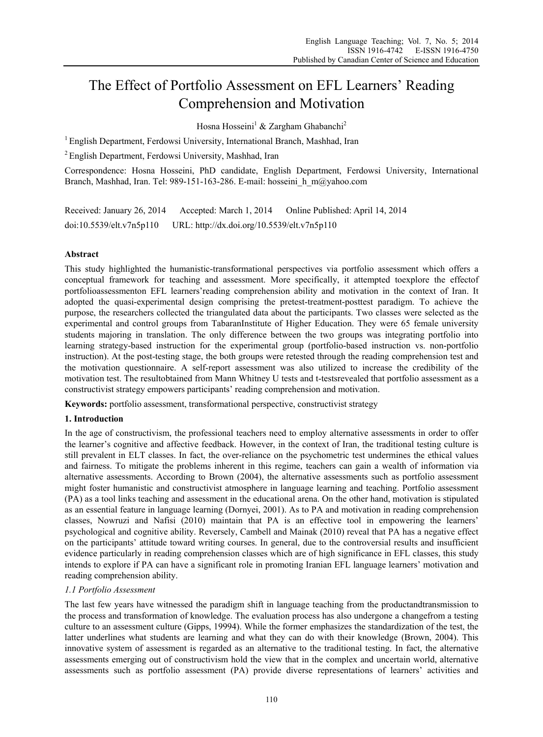# The Effect of Portfolio Assessment on EFL Learners' Reading Comprehension and Motivation

Hosna Hosseini<sup>1</sup> & Zargham Ghabanchi<sup>2</sup>

<sup>1</sup> English Department, Ferdowsi University, International Branch, Mashhad, Iran

2 English Department, Ferdowsi University, Mashhad, Iran

Correspondence: Hosna Hosseini, PhD candidate, English Department, Ferdowsi University, International Branch, Mashhad, Iran. Tel: 989-151-163-286. E-mail: hosseini\_h\_m@yahoo.com

Received: January 26, 2014 Accepted: March 1, 2014 Online Published: April 14, 2014 doi:10.5539/elt.v7n5p110 URL: http://dx.doi.org/10.5539/elt.v7n5p110

# **Abstract**

This study highlighted the humanistic-transformational perspectives via portfolio assessment which offers a conceptual framework for teaching and assessment. More specifically, it attempted toexplore the effectof portfolioassessmenton EFL learners'reading comprehension ability and motivation in the context of Iran. It adopted the quasi-experimental design comprising the pretest-treatment-posttest paradigm. To achieve the purpose, the researchers collected the triangulated data about the participants. Two classes were selected as the experimental and control groups from TabaranInstitute of Higher Education. They were 65 female university students majoring in translation. The only difference between the two groups was integrating portfolio into learning strategy-based instruction for the experimental group (portfolio-based instruction vs. non-portfolio instruction). At the post-testing stage, the both groups were retested through the reading comprehension test and the motivation questionnaire. A self-report assessment was also utilized to increase the credibility of the motivation test. The resultobtained from Mann Whitney U tests and t-testsrevealed that portfolio assessment as a constructivist strategy empowers participants' reading comprehension and motivation.

**Keywords:** portfolio assessment, transformational perspective, constructivist strategy

## **1. Introduction**

In the age of constructivism, the professional teachers need to employ alternative assessments in order to offer the learner's cognitive and affective feedback. However, in the context of Iran, the traditional testing culture is still prevalent in ELT classes. In fact, the over-reliance on the psychometric test undermines the ethical values and fairness. To mitigate the problems inherent in this regime, teachers can gain a wealth of information via alternative assessments. According to Brown (2004), the alternative assessments such as portfolio assessment might foster humanistic and constructivist atmosphere in language learning and teaching. Portfolio assessment (PA) as a tool links teaching and assessment in the educational arena. On the other hand, motivation is stipulated as an essential feature in language learning (Dornyei, 2001). As to PA and motivation in reading comprehension classes, Nowruzi and Nafisi (2010) maintain that PA is an effective tool in empowering the learners' psychological and cognitive ability. Reversely, Cambell and Mainak (2010) reveal that PA has a negative effect on the participants' attitude toward writing courses. In general, due to the controversial results and insufficient evidence particularly in reading comprehension classes which are of high significance in EFL classes, this study intends to explore if PA can have a significant role in promoting Iranian EFL language learners' motivation and reading comprehension ability.

## *1.1 Portfolio Assessment*

The last few years have witnessed the paradigm shift in language teaching from the productandtransmission to the process and transformation of knowledge. The evaluation process has also undergone a changefrom a testing culture to an assessment culture (Gipps, 19994). While the former emphasizes the standardization of the test, the latter underlines what students are learning and what they can do with their knowledge (Brown, 2004). This innovative system of assessment is regarded as an alternative to the traditional testing. In fact, the alternative assessments emerging out of constructivism hold the view that in the complex and uncertain world, alternative assessments such as portfolio assessment (PA) provide diverse representations of learners' activities and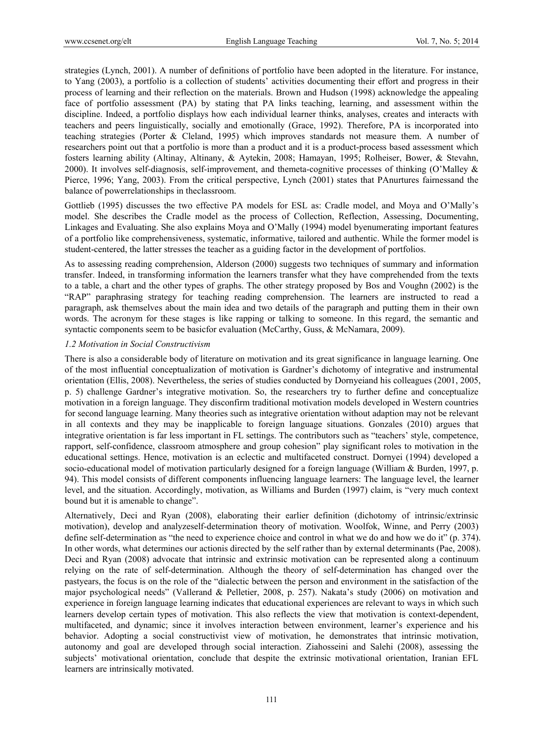strategies (Lynch, 2001). A number of definitions of portfolio have been adopted in the literature. For instance, to Yang (2003), a portfolio is a collection of students' activities documenting their effort and progress in their process of learning and their reflection on the materials. Brown and Hudson (1998) acknowledge the appealing face of portfolio assessment (PA) by stating that PA links teaching, learning, and assessment within the discipline. Indeed, a portfolio displays how each individual learner thinks, analyses, creates and interacts with teachers and peers linguistically, socially and emotionally (Grace, 1992). Therefore, PA is incorporated into teaching strategies (Porter & Cleland, 1995) which improves standards not measure them. A number of researchers point out that a portfolio is more than a product and it is a product-process based assessment which fosters learning ability (Altinay, Altinany, & Aytekin, 2008; Hamayan, 1995; Rolheiser, Bower, & Stevahn, 2000). It involves self-diagnosis, self-improvement, and themeta-cognitive processes of thinking (O'Malley & Pierce, 1996; Yang, 2003). From the critical perspective, Lynch (2001) states that PAnurtures fairnessand the balance of powerrelationships in theclassroom.

Gottlieb (1995) discusses the two effective PA models for ESL as: Cradle model, and Moya and O'Mally's model. She describes the Cradle model as the process of Collection, Reflection, Assessing, Documenting, Linkages and Evaluating. She also explains Moya and O'Mally (1994) model byenumerating important features of a portfolio like comprehensiveness, systematic, informative, tailored and authentic. While the former model is student-centered, the latter stresses the teacher as a guiding factor in the development of portfolios.

As to assessing reading comprehension, Alderson (2000) suggests two techniques of summary and information transfer. Indeed, in transforming information the learners transfer what they have comprehended from the texts to a table, a chart and the other types of graphs. The other strategy proposed by Bos and Voughn (2002) is the "RAP" paraphrasing strategy for teaching reading comprehension. The learners are instructed to read a paragraph, ask themselves about the main idea and two details of the paragraph and putting them in their own words. The acronym for these stages is like rapping or talking to someone. In this regard, the semantic and syntactic components seem to be basicfor evaluation (McCarthy, Guss, & McNamara, 2009).

#### *1.2 Motivation in Social Constructivism*

There is also a considerable body of literature on motivation and its great significance in language learning. One of the most influential conceptualization of motivation is Gardner's dichotomy of integrative and instrumental orientation (Ellis, 2008). Nevertheless, the series of studies conducted by Dornyeiand his colleagues (2001, 2005, p. 5) challenge Gardner's integrative motivation. So, the researchers try to further define and conceptualize motivation in a foreign language. They disconfirm traditional motivation models developed in Western countries for second language learning. Many theories such as integrative orientation without adaption may not be relevant in all contexts and they may be inapplicable to foreign language situations. Gonzales (2010) argues that integrative orientation is far less important in FL settings. The contributors such as "teachers' style, competence, rapport, self-confidence, classroom atmosphere and group cohesion" play significant roles to motivation in the educational settings. Hence, motivation is an eclectic and multifaceted construct. Dornyei (1994) developed a socio-educational model of motivation particularly designed for a foreign language (William & Burden, 1997, p. 94). This model consists of different components influencing language learners: The language level, the learner level, and the situation. Accordingly, motivation, as Williams and Burden (1997) claim, is "very much context bound but it is amenable to change".

Alternatively, Deci and Ryan (2008), elaborating their earlier definition (dichotomy of intrinsic/extrinsic motivation), develop and analyzeself-determination theory of motivation. Woolfok, Winne, and Perry (2003) define self-determination as "the need to experience choice and control in what we do and how we do it" (p. 374). In other words, what determines our actionis directed by the self rather than by external determinants (Pae, 2008). Deci and Ryan (2008) advocate that intrinsic and extrinsic motivation can be represented along a continuum relying on the rate of self-determination. Although the theory of self-determination has changed over the pastyears, the focus is on the role of the "dialectic between the person and environment in the satisfaction of the major psychological needs" (Vallerand & Pelletier, 2008, p. 257). Nakata's study (2006) on motivation and experience in foreign language learning indicates that educational experiences are relevant to ways in which such learners develop certain types of motivation. This also reflects the view that motivation is context-dependent, multifaceted, and dynamic; since it involves interaction between environment, learner's experience and his behavior. Adopting a social constructivist view of motivation, he demonstrates that intrinsic motivation, autonomy and goal are developed through social interaction. Ziahosseini and Salehi (2008), assessing the subjects' motivational orientation, conclude that despite the extrinsic motivational orientation, Iranian EFL learners are intrinsically motivated.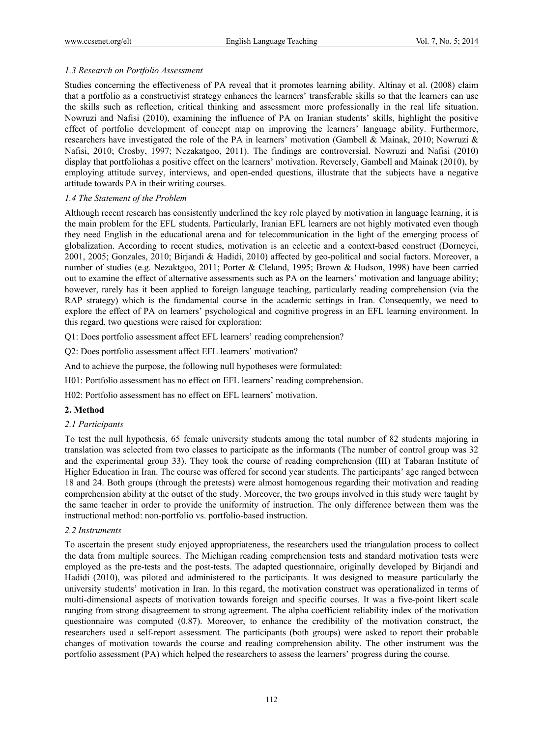# *1.3 Research on Portfolio Assessment*

Studies concerning the effectiveness of PA reveal that it promotes learning ability. Altinay et al. (2008) claim that a portfolio as a constructivist strategy enhances the learners' transferable skills so that the learners can use the skills such as reflection, critical thinking and assessment more professionally in the real life situation. Nowruzi and Nafisi (2010), examining the influence of PA on Iranian students' skills, highlight the positive effect of portfolio development of concept map on improving the learners' language ability. Furthermore, researchers have investigated the role of the PA in learners' motivation (Gambell & Mainak, 2010; Nowruzi & Nafisi, 2010; Crosby, 1997; Nezakatgoo, 2011). The findings are controversial. Nowruzi and Nafisi (2010) display that portfoliohas a positive effect on the learners' motivation. Reversely, Gambell and Mainak (2010), by employing attitude survey, interviews, and open-ended questions, illustrate that the subjects have a negative attitude towards PA in their writing courses.

## *1.4 The Statement of the Problem*

Although recent research has consistently underlined the key role played by motivation in language learning, it is the main problem for the EFL students. Particularly, Iranian EFL learners are not highly motivated even though they need English in the educational arena and for telecommunication in the light of the emerging process of globalization. According to recent studies, motivation is an eclectic and a context-based construct (Dorneyei, 2001, 2005; Gonzales, 2010; Birjandi & Hadidi, 2010) affected by geo-political and social factors. Moreover, a number of studies (e.g. Nezaktgoo, 2011; Porter & Cleland, 1995; Brown & Hudson, 1998) have been carried out to examine the effect of alternative assessments such as PA on the learners' motivation and language ability; however, rarely has it been applied to foreign language teaching, particularly reading comprehension (via the RAP strategy) which is the fundamental course in the academic settings in Iran. Consequently, we need to explore the effect of PA on learners' psychological and cognitive progress in an EFL learning environment. In this regard, two questions were raised for exploration:

Q1: Does portfolio assessment affect EFL learners' reading comprehension?

Q2: Does portfolio assessment affect EFL learners' motivation?

And to achieve the purpose, the following null hypotheses were formulated:

H01: Portfolio assessment has no effect on EFL learners' reading comprehension.

H02: Portfolio assessment has no effect on EFL learners' motivation.

## **2. Method**

## *2.1 Participants*

To test the null hypothesis, 65 female university students among the total number of 82 students majoring in translation was selected from two classes to participate as the informants (The number of control group was 32 and the experimental group 33). They took the course of reading comprehension (III) at Tabaran Institute of Higher Education in Iran. The course was offered for second year students. The participants' age ranged between 18 and 24. Both groups (through the pretests) were almost homogenous regarding their motivation and reading comprehension ability at the outset of the study. Moreover, the two groups involved in this study were taught by the same teacher in order to provide the uniformity of instruction. The only difference between them was the instructional method: non-portfolio vs. portfolio-based instruction.

## *2.2 Instruments*

To ascertain the present study enjoyed appropriateness, the researchers used the triangulation process to collect the data from multiple sources. The Michigan reading comprehension tests and standard motivation tests were employed as the pre-tests and the post-tests. The adapted questionnaire, originally developed by Birjandi and Hadidi (2010), was piloted and administered to the participants. It was designed to measure particularly the university students' motivation in Iran. In this regard, the motivation construct was operationalized in terms of multi-dimensional aspects of motivation towards foreign and specific courses. It was a five-point likert scale ranging from strong disagreement to strong agreement. The alpha coefficient reliability index of the motivation questionnaire was computed (0.87). Moreover, to enhance the credibility of the motivation construct, the researchers used a self-report assessment. The participants (both groups) were asked to report their probable changes of motivation towards the course and reading comprehension ability. The other instrument was the portfolio assessment (PA) which helped the researchers to assess the learners' progress during the course.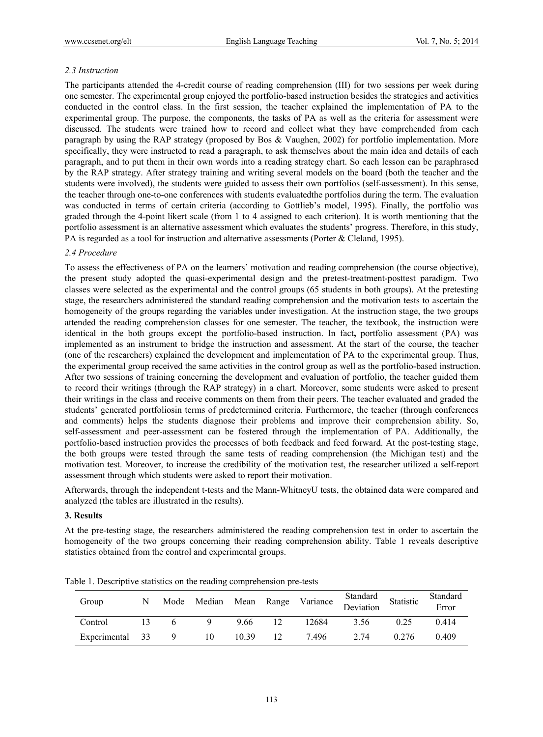#### *2.3 Instruction*

The participants attended the 4-credit course of reading comprehension (III) for two sessions per week during one semester. The experimental group enjoyed the portfolio-based instruction besides the strategies and activities conducted in the control class. In the first session, the teacher explained the implementation of PA to the experimental group. The purpose, the components, the tasks of PA as well as the criteria for assessment were discussed. The students were trained how to record and collect what they have comprehended from each paragraph by using the RAP strategy (proposed by Bos & Vaughen, 2002) for portfolio implementation. More specifically, they were instructed to read a paragraph, to ask themselves about the main idea and details of each paragraph, and to put them in their own words into a reading strategy chart. So each lesson can be paraphrased by the RAP strategy. After strategy training and writing several models on the board (both the teacher and the students were involved), the students were guided to assess their own portfolios (self-assessment). In this sense, the teacher through one-to-one conferences with students evaluatedthe portfolios during the term. The evaluation was conducted in terms of certain criteria (according to Gottlieb's model, 1995). Finally, the portfolio was graded through the 4-point likert scale (from 1 to 4 assigned to each criterion). It is worth mentioning that the portfolio assessment is an alternative assessment which evaluates the students' progress. Therefore, in this study, PA is regarded as a tool for instruction and alternative assessments (Porter & Cleland, 1995).

#### *2.4 Procedure*

To assess the effectiveness of PA on the learners' motivation and reading comprehension (the course objective), the present study adopted the quasi-experimental design and the pretest-treatment-posttest paradigm. Two classes were selected as the experimental and the control groups (65 students in both groups). At the pretesting stage, the researchers administered the standard reading comprehension and the motivation tests to ascertain the homogeneity of the groups regarding the variables under investigation. At the instruction stage, the two groups attended the reading comprehension classes for one semester. The teacher, the textbook, the instruction were identical in the both groups except the portfolio-based instruction. In fact**,** portfolio assessment (PA) was implemented as an instrument to bridge the instruction and assessment. At the start of the course, the teacher (one of the researchers) explained the development and implementation of PA to the experimental group. Thus, the experimental group received the same activities in the control group as well as the portfolio-based instruction. After two sessions of training concerning the development and evaluation of portfolio, the teacher guided them to record their writings (through the RAP strategy) in a chart. Moreover, some students were asked to present their writings in the class and receive comments on them from their peers. The teacher evaluated and graded the students' generated portfoliosin terms of predetermined criteria. Furthermore, the teacher (through conferences and comments) helps the students diagnose their problems and improve their comprehension ability. So, self-assessment and peer-assessment can be fostered through the implementation of PA. Additionally, the portfolio-based instruction provides the processes of both feedback and feed forward. At the post-testing stage, the both groups were tested through the same tests of reading comprehension (the Michigan test) and the motivation test. Moreover, to increase the credibility of the motivation test, the researcher utilized a self-report assessment through which students were asked to report their motivation.

Afterwards, through the independent t-tests and the Mann-WhitneyU tests, the obtained data were compared and analyzed (the tables are illustrated in the results).

#### **3. Results**

At the pre-testing stage, the researchers administered the reading comprehension test in order to ascertain the homogeneity of the two groups concerning their reading comprehension ability. Table 1 reveals descriptive statistics obtained from the control and experimental groups.

| Group           |    |    | Mode Median |       |                 | Mean Range Variance | Standard<br>Deviation Statistic |       | Standard<br>Error |
|-----------------|----|----|-------------|-------|-----------------|---------------------|---------------------------------|-------|-------------------|
| Control         | 13 |    |             | 9.66  | 12 <sup>°</sup> | 12684               | 3.56                            | 0.25  | 0414              |
| Experimental 33 |    | -9 | 10          | 10.39 | 12              | 7.496               | 2.74                            | 0.276 | 0.409             |

Table 1. Descriptive statistics on the reading comprehension pre-tests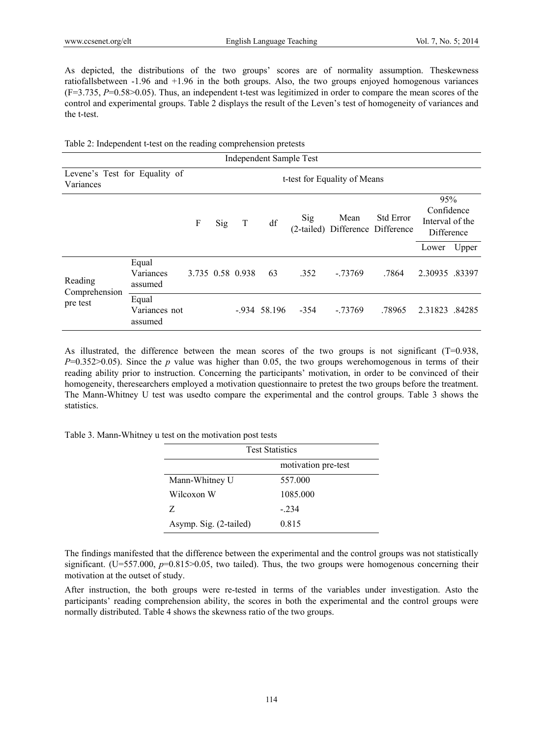As depicted, the distributions of the two groups' scores are of normality assumption. Theskewness ratiofallsbetween -1.96 and +1.96 in the both groups. Also, the two groups enjoyed homogenous variances (F=3.735, *P*=0.58>0.05). Thus, an independent t-test was legitimized in order to compare the mean scores of the control and experimental groups. Table 2 displays the result of the Leven's test of homogeneity of variances and the t-test.

Table 2: Independent t-test on the reading comprehension pretests

| <b>Independent Sample Test</b>             |                                   |   |                              |                  |                 |        |                                          |                  |                                                    |        |
|--------------------------------------------|-----------------------------------|---|------------------------------|------------------|-----------------|--------|------------------------------------------|------------------|----------------------------------------------------|--------|
| Levene's Test for Equality of<br>Variances |                                   |   | t-test for Equality of Means |                  |                 |        |                                          |                  |                                                    |        |
|                                            |                                   | F | Sig                          | T                | df              | Sig    | Mean<br>(2-tailed) Difference Difference | <b>Std Error</b> | 95%<br>Confidence<br>Interval of the<br>Difference |        |
|                                            |                                   |   |                              |                  |                 |        |                                          |                  | Lower                                              | Upper  |
| Reading<br>Comprehension                   | Equal<br>Variances<br>assumed     |   |                              | 3.735 0.58 0.938 | 63              | .352   | $-73769$                                 | .7864            | 2.30935 .83397                                     |        |
| pre test                                   | Equal<br>Variances not<br>assumed |   |                              |                  | $-0.934$ 58.196 | $-354$ | $-0.73769$                               | .78965           | 2.31823                                            | .84285 |

As illustrated, the difference between the mean scores of the two groups is not significant (T=0.938, *P*=0.352>0.05). Since the *p* value was higher than 0.05, the two groups werehomogenous in terms of their reading ability prior to instruction. Concerning the participants' motivation, in order to be convinced of their homogeneity, theresearchers employed a motivation questionnaire to pretest the two groups before the treatment. The Mann-Whitney U test was usedto compare the experimental and the control groups. Table 3 shows the statistics.

Table 3. Mann-Whitney u test on the motivation post tests

| <b>Test Statistics</b> |                     |  |  |  |  |
|------------------------|---------------------|--|--|--|--|
|                        | motivation pre-test |  |  |  |  |
| Mann-Whitney U         | 557.000             |  |  |  |  |
| Wilcoxon W             | 1085.000            |  |  |  |  |
| Z                      | $-234$              |  |  |  |  |
| Asymp. Sig. (2-tailed) | 0.815               |  |  |  |  |

The findings manifested that the difference between the experimental and the control groups was not statistically significant. ( $U=557.000$ ,  $p=0.815>0.05$ , two tailed). Thus, the two groups were homogenous concerning their motivation at the outset of study.

After instruction, the both groups were re-tested in terms of the variables under investigation. Asto the participants' reading comprehension ability, the scores in both the experimental and the control groups were normally distributed. Table 4 shows the skewness ratio of the two groups.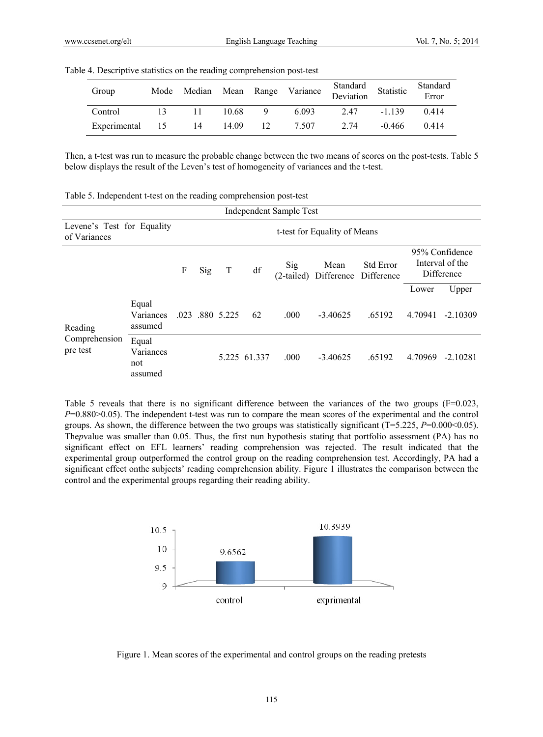| Group           | Mode Median |       |    | Mean Range Variance | Standard<br>Deviation Statistic |          | Standard<br>Error |
|-----------------|-------------|-------|----|---------------------|---------------------------------|----------|-------------------|
| Control         | 11          | 10.68 |    | 6.093               | 247                             | $-1139$  | 0.414             |
| Experimental 15 | 14          | 14.09 | 12 | 7.507               | 2.74                            | $-0.466$ | 0.414             |

Table 4. Descriptive statistics on the reading comprehension post-test

Then, a t-test was run to measure the probable change between the two means of scores on the post-tests. Table 5 below displays the result of the Leven's test of homogeneity of variances and the t-test.

|  | Table 5. Independent t-test on the reading comprehension post-test |  |
|--|--------------------------------------------------------------------|--|
|  |                                                                    |  |

| <b>Independent Sample Test</b>             |                                      |   |     |                 |              |      |                                          |                  |         |                                                 |
|--------------------------------------------|--------------------------------------|---|-----|-----------------|--------------|------|------------------------------------------|------------------|---------|-------------------------------------------------|
| Levene's Test for Equality<br>of Variances |                                      |   |     |                 |              |      | t-test for Equality of Means             |                  |         |                                                 |
|                                            |                                      | F | Sig | T               | df           | Sig  | Mean<br>(2-tailed) Difference Difference | <b>Std Error</b> |         | 95% Confidence<br>Interval of the<br>Difference |
|                                            |                                      |   |     |                 |              |      |                                          |                  | Lower   | Upper                                           |
| Reading                                    | Equal<br>Variances<br>assumed        |   |     | .023 .880 5.225 | 62           | .000 | $-3.40625$                               | .65192           | 4.70941 | $-2.10309$                                      |
| Comprehension<br>pre test                  | Equal<br>Variances<br>not<br>assumed |   |     |                 | 5.225 61.337 | .000 | $-3.40625$                               | .65192           | 4.70969 | $-2.10281$                                      |

Table 5 reveals that there is no significant difference between the variances of the two groups (F=0.023, *P*=0.880>0.05). The independent t-test was run to compare the mean scores of the experimental and the control groups. As shown, the difference between the two groups was statistically significant (T=5.225, *P*=0.000<0.05). The*p*value was smaller than 0.05. Thus, the first nun hypothesis stating that portfolio assessment (PA) has no significant effect on EFL learners' reading comprehension was rejected. The result indicated that the experimental group outperformed the control group on the reading comprehension test. Accordingly, PA had a significant effect onthe subjects' reading comprehension ability. Figure 1 illustrates the comparison between the control and the experimental groups regarding their reading ability.



Figure 1. Mean scores of the experimental and control groups on the reading pretests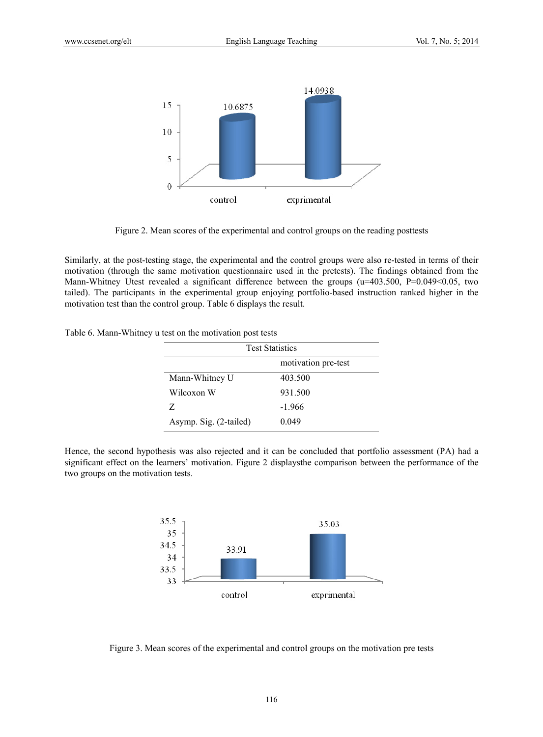

Figure 2. Mean scores of the experimental and control groups on the reading posttests

Similarly, at the post-testing stage, the experimental and the control groups were also re-tested in terms of their motivation (through the same motivation questionnaire used in the pretests). The findings obtained from the Mann-Whitney Utest revealed a significant difference between the groups (u=403.500, P=0.049<0.05, two tailed). The participants in the experimental group enjoying portfolio-based instruction ranked higher in the motivation test than the control group. Table 6 displays the result.

|  | Table 6. Mann-Whitney u test on the motivation post tests |  |
|--|-----------------------------------------------------------|--|
|--|-----------------------------------------------------------|--|

| <b>Test Statistics</b> |                     |  |  |  |  |
|------------------------|---------------------|--|--|--|--|
|                        | motivation pre-test |  |  |  |  |
| Mann-Whitney U         | 403.500             |  |  |  |  |
| Wilcoxon W             | 931.500             |  |  |  |  |
| Z.                     | $-1.966$            |  |  |  |  |
| Asymp. Sig. (2-tailed) | 0.049               |  |  |  |  |

Hence, the second hypothesis was also rejected and it can be concluded that portfolio assessment (PA) had a significant effect on the learners' motivation. Figure 2 displaysthe comparison between the performance of the two groups on the motivation tests.



Figure 3. Mean scores of the experimental and control groups on the motivation pre tests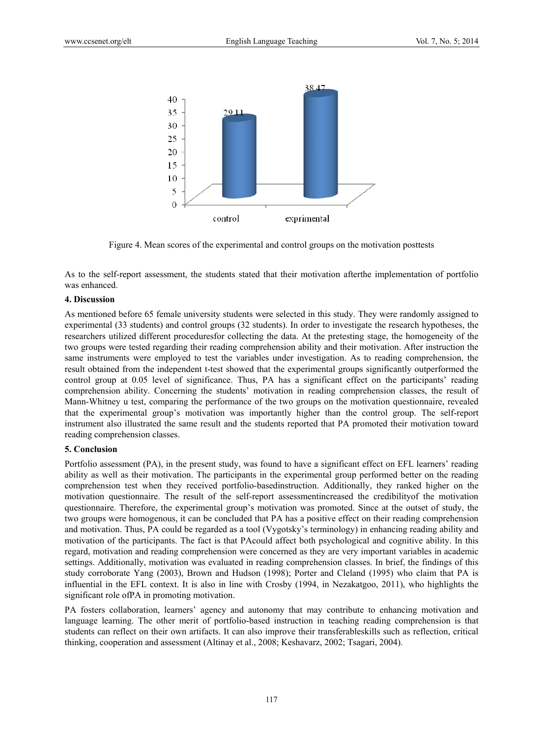

Figure 4. Mean scores of the experimental and control groups on the motivation posttests

As to the self-report assessment, the students stated that their motivation afterthe implementation of portfolio was enhanced.

## **4. Discussion**

As mentioned before 65 female university students were selected in this study. They were randomly assigned to experimental (33 students) and control groups (32 students). In order to investigate the research hypotheses, the researchers utilized different proceduresfor collecting the data. At the pretesting stage, the homogeneity of the two groups were tested regarding their reading comprehension ability and their motivation. After instruction the same instruments were employed to test the variables under investigation. As to reading comprehension, the result obtained from the independent t-test showed that the experimental groups significantly outperformed the control group at 0.05 level of significance. Thus, PA has a significant effect on the participants' reading comprehension ability. Concerning the students' motivation in reading comprehension classes, the result of Mann-Whitney u test, comparing the performance of the two groups on the motivation questionnaire, revealed that the experimental group's motivation was importantly higher than the control group. The self-report instrument also illustrated the same result and the students reported that PA promoted their motivation toward reading comprehension classes.

#### **5. Conclusion**

Portfolio assessment (PA), in the present study, was found to have a significant effect on EFL learners' reading ability as well as their motivation. The participants in the experimental group performed better on the reading comprehension test when they received portfolio-basedinstruction. Additionally, they ranked higher on the motivation questionnaire. The result of the self-report assessmentincreased the credibilityof the motivation questionnaire. Therefore, the experimental group's motivation was promoted. Since at the outset of study, the two groups were homogenous, it can be concluded that PA has a positive effect on their reading comprehension and motivation. Thus, PA could be regarded as a tool (Vygotsky's terminology) in enhancing reading ability and motivation of the participants. The fact is that PAcould affect both psychological and cognitive ability. In this regard, motivation and reading comprehension were concerned as they are very important variables in academic settings. Additionally, motivation was evaluated in reading comprehension classes. In brief, the findings of this study corroborate Yang (2003), Brown and Hudson (1998); Porter and Cleland (1995) who claim that PA is influential in the EFL context. It is also in line with Crosby (1994, in Nezakatgoo, 2011), who highlights the significant role ofPA in promoting motivation.

PA fosters collaboration, learners' agency and autonomy that may contribute to enhancing motivation and language learning. The other merit of portfolio-based instruction in teaching reading comprehension is that students can reflect on their own artifacts. It can also improve their transferableskills such as reflection, critical thinking, cooperation and assessment (Altinay et al., 2008; Keshavarz, 2002; Tsagari, 2004).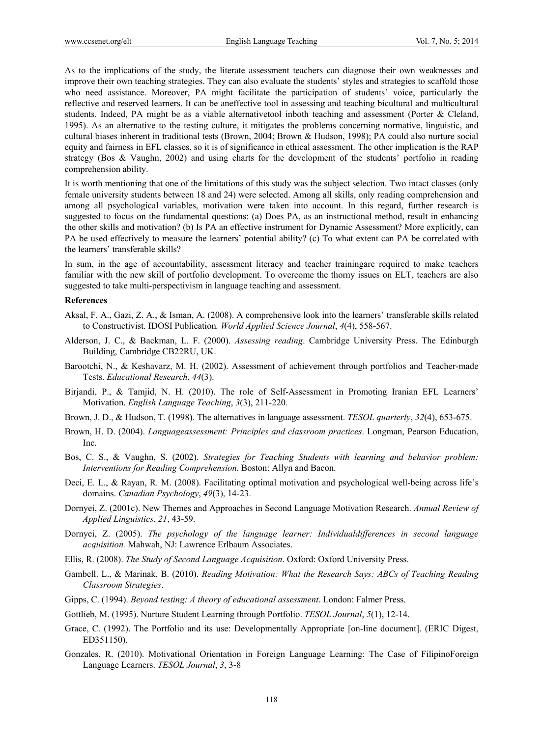As to the implications of the study, the literate assessment teachers can diagnose their own weaknesses and improve their own teaching strategies. They can also evaluate the students' styles and strategies to scaffold those who need assistance. Moreover, PA might facilitate the participation of students' voice, particularly the reflective and reserved learners. It can be aneffective tool in assessing and teaching bicultural and multicultural students. Indeed, PA might be as a viable alternativetool inboth teaching and assessment (Porter & Cleland, 1995). As an alternative to the testing culture, it mitigates the problems concerning normative, linguistic, and cultural biases inherent in traditional tests (Brown, 2004; Brown & Hudson, 1998); PA could also nurture social equity and fairness in EFL classes, so it is of significance in ethical assessment. The other implication is the RAP strategy (Bos & Vaughn, 2002) and using charts for the development of the students' portfolio in reading comprehension ability.

It is worth mentioning that one of the limitations of this study was the subject selection. Two intact classes (only female university students between 18 and 24) were selected. Among all skills, only reading comprehension and among all psychological variables, motivation were taken into account. In this regard, further research is suggested to focus on the fundamental questions: (a) Does PA, as an instructional method, result in enhancing the other skills and motivation? (b) Is PA an effective instrument for Dynamic Assessment? More explicitly, can PA be used effectively to measure the learners' potential ability? (c) To what extent can PA be correlated with the learners' transferable skills?

In sum, in the age of accountability, assessment literacy and teacher trainingare required to make teachers familiar with the new skill of portfolio development. To overcome the thorny issues on ELT, teachers are also suggested to take multi-perspectivism in language teaching and assessment.

#### **References**

- Aksal, F. A., Gazi, Z. A., & Isman, A. (2008). A comprehensive look into the learners' transferable skills related to Constructivist. IDOSI Publication*. World Applied Science Journal*, *4*(4), 558-567.
- Alderson, J. C., & Backman, L. F. (2000). *Assessing reading*. Cambridge University Press. The Edinburgh Building, Cambridge CB22RU, UK.
- Barootchi, N., & Keshavarz, M. H. (2002). Assessment of achievement through portfolios and Teacher-made Tests. *Educational Research*, *44*(3).
- Birjandi, P., & Tamjid, N. H. (2010). The role of Self-Assessment in Promoting Iranian EFL Learners' Motivation. *English Language Teaching*, *3*(3), 211-220*.*
- Brown, J. D., & Hudson, T. (1998). The alternatives in language assessment. *TESOL quarterly*, *32*(4), 653-675.
- Brown, H. D. (2004). *Languageassessment: Principles and classroom practices*. Longman, Pearson Education, Inc.
- Bos, C. S., & Vaughn, S. (2002). *Strategies for Teaching Students with learning and behavior problem: Interventions for Reading Comprehension*. Boston: Allyn and Bacon.
- Deci, E. L., & Rayan, R. M. (2008). Facilitating optimal motivation and psychological well-being across life's domains. *Canadian Psychology*, *49*(3), 14-23.
- Dornyei, Z. (2001c). New Themes and Approaches in Second Language Motivation Research. *Annual Review of Applied Linguistics*, *21*, 43-59.
- Dornyei, Z. (2005). *The psychology of the language learner: Individualdifferences in second language acquisition.* Mahwah, NJ: Lawrence Erlbaum Associates.
- Ellis, R. (2008). *The Study of Second Language Acquisition*. Oxford: Oxford University Press.
- Gambell. L., & Marinak, B. (2010). *Reading Motivation: What the Research Says: ABCs of Teaching Reading Classroom Strategies*.
- Gipps, C. (1994). *Beyond testing: A theory of educational assessment*. London: Falmer Press.
- Gottlieb, M. (1995). Nurture Student Learning through Portfolio. *TESOL Journal*, *5*(1), 12-14.
- Grace, C. (1992). The Portfolio and its use: Developmentally Appropriate [on-line document]. (ERIC Digest, ED351150).
- Gonzales, R. (2010). Motivational Orientation in Foreign Language Learning: The Case of FilipinoForeign Language Learners. *TESOL Journal*, *3*, 3-8